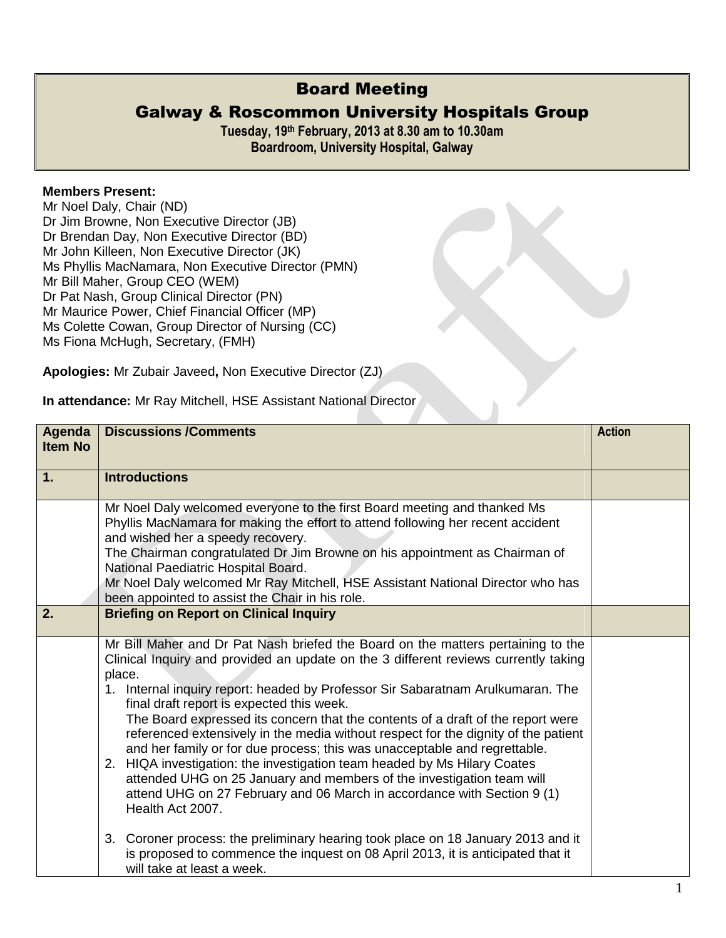## Board Meeting

## Galway & Roscommon University Hospitals Group

**Tuesday, 19 th February, 2013 at 8.30 am to 10.30am Boardroom, University Hospital, Galway**

## **Members Present:**

Mr Noel Daly, Chair (ND) Dr Jim Browne, Non Executive Director (JB) Dr Brendan Day, Non Executive Director (BD) Mr John Killeen, Non Executive Director (JK) Ms Phyllis MacNamara, Non Executive Director (PMN) Mr Bill Maher, Group CEO (WEM) Dr Pat Nash, Group Clinical Director (PN) Mr Maurice Power, Chief Financial Officer (MP) Ms Colette Cowan, Group Director of Nursing (CC) Ms Fiona McHugh, Secretary, (FMH)

**Apologies:** Mr Zubair Javeed**,** Non Executive Director (ZJ)

|  | In attendance: Mr Ray Mitchell, HSE Assistant National Director |  |  |  |  |  |  |
|--|-----------------------------------------------------------------|--|--|--|--|--|--|
|--|-----------------------------------------------------------------|--|--|--|--|--|--|

| Agenda<br><b>Item No</b> | <b>Discussions /Comments</b>                                                                                                                                                                                                                                                                                                                                                                                                                                                                                                                                                                                                                                                                                                                                                                                                                                                                                                                                                                                                     | <b>Action</b> |
|--------------------------|----------------------------------------------------------------------------------------------------------------------------------------------------------------------------------------------------------------------------------------------------------------------------------------------------------------------------------------------------------------------------------------------------------------------------------------------------------------------------------------------------------------------------------------------------------------------------------------------------------------------------------------------------------------------------------------------------------------------------------------------------------------------------------------------------------------------------------------------------------------------------------------------------------------------------------------------------------------------------------------------------------------------------------|---------------|
| 1.                       | <b>Introductions</b>                                                                                                                                                                                                                                                                                                                                                                                                                                                                                                                                                                                                                                                                                                                                                                                                                                                                                                                                                                                                             |               |
|                          | Mr Noel Daly welcomed everyone to the first Board meeting and thanked Ms<br>Phyllis MacNamara for making the effort to attend following her recent accident<br>and wished her a speedy recovery.<br>The Chairman congratulated Dr Jim Browne on his appointment as Chairman of<br>National Paediatric Hospital Board.<br>Mr Noel Daly welcomed Mr Ray Mitchell, HSE Assistant National Director who has<br>been appointed to assist the Chair in his role.                                                                                                                                                                                                                                                                                                                                                                                                                                                                                                                                                                       |               |
| 2.                       | <b>Briefing on Report on Clinical Inquiry</b>                                                                                                                                                                                                                                                                                                                                                                                                                                                                                                                                                                                                                                                                                                                                                                                                                                                                                                                                                                                    |               |
|                          | Mr Bill Maher and Dr Pat Nash briefed the Board on the matters pertaining to the<br>Clinical Inquiry and provided an update on the 3 different reviews currently taking<br>place.<br>1. Internal inquiry report: headed by Professor Sir Sabaratnam Arulkumaran. The<br>final draft report is expected this week.<br>The Board expressed its concern that the contents of a draft of the report were<br>referenced extensively in the media without respect for the dignity of the patient<br>and her family or for due process; this was unacceptable and regrettable.<br>2. HIQA investigation: the investigation team headed by Ms Hilary Coates<br>attended UHG on 25 January and members of the investigation team will<br>attend UHG on 27 February and 06 March in accordance with Section 9 (1)<br>Health Act 2007.<br>3. Coroner process: the preliminary hearing took place on 18 January 2013 and it<br>is proposed to commence the inquest on 08 April 2013, it is anticipated that it<br>will take at least a week. |               |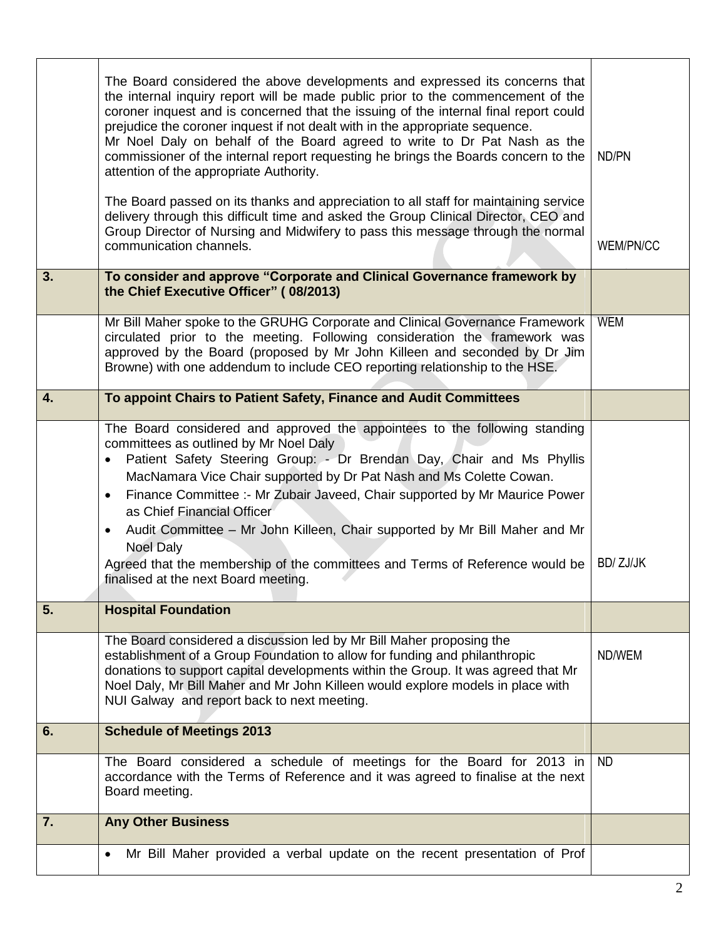|    | The Board considered the above developments and expressed its concerns that<br>the internal inquiry report will be made public prior to the commencement of the<br>coroner inquest and is concerned that the issuing of the internal final report could<br>prejudice the coroner inquest if not dealt with in the appropriate sequence.<br>Mr Noel Daly on behalf of the Board agreed to write to Dr Pat Nash as the<br>commissioner of the internal report requesting he brings the Boards concern to the<br>attention of the appropriate Authority.<br>The Board passed on its thanks and appreciation to all staff for maintaining service<br>delivery through this difficult time and asked the Group Clinical Director, CEO and<br>Group Director of Nursing and Midwifery to pass this message through the normal<br>communication channels. | ND/PN<br>WEM/PN/CC |
|----|----------------------------------------------------------------------------------------------------------------------------------------------------------------------------------------------------------------------------------------------------------------------------------------------------------------------------------------------------------------------------------------------------------------------------------------------------------------------------------------------------------------------------------------------------------------------------------------------------------------------------------------------------------------------------------------------------------------------------------------------------------------------------------------------------------------------------------------------------|--------------------|
| 3. | To consider and approve "Corporate and Clinical Governance framework by<br>the Chief Executive Officer" (08/2013)                                                                                                                                                                                                                                                                                                                                                                                                                                                                                                                                                                                                                                                                                                                                  |                    |
|    | Mr Bill Maher spoke to the GRUHG Corporate and Clinical Governance Framework<br>circulated prior to the meeting. Following consideration the framework was<br>approved by the Board (proposed by Mr John Killeen and seconded by Dr Jim<br>Browne) with one addendum to include CEO reporting relationship to the HSE.                                                                                                                                                                                                                                                                                                                                                                                                                                                                                                                             | <b>WEM</b>         |
| 4. | To appoint Chairs to Patient Safety, Finance and Audit Committees                                                                                                                                                                                                                                                                                                                                                                                                                                                                                                                                                                                                                                                                                                                                                                                  |                    |
|    | The Board considered and approved the appointees to the following standing<br>committees as outlined by Mr Noel Daly<br>Patient Safety Steering Group: - Dr Brendan Day, Chair and Ms Phyllis<br>$\bullet$<br>MacNamara Vice Chair supported by Dr Pat Nash and Ms Colette Cowan.<br>Finance Committee :- Mr Zubair Javeed, Chair supported by Mr Maurice Power<br>$\bullet$<br>as Chief Financial Officer<br>Audit Committee - Mr John Killeen, Chair supported by Mr Bill Maher and Mr<br>$\bullet$<br><b>Noel Daly</b><br>Agreed that the membership of the committees and Terms of Reference would be<br>finalised at the next Board meeting.                                                                                                                                                                                                  | <b>BD/ZJ/JK</b>    |
| 5. | <b>Hospital Foundation</b>                                                                                                                                                                                                                                                                                                                                                                                                                                                                                                                                                                                                                                                                                                                                                                                                                         |                    |
|    | The Board considered a discussion led by Mr Bill Maher proposing the<br>establishment of a Group Foundation to allow for funding and philanthropic<br>donations to support capital developments within the Group. It was agreed that Mr<br>Noel Daly, Mr Bill Maher and Mr John Killeen would explore models in place with<br>NUI Galway and report back to next meeting.                                                                                                                                                                                                                                                                                                                                                                                                                                                                          | ND/WEM             |
| 6. | <b>Schedule of Meetings 2013</b>                                                                                                                                                                                                                                                                                                                                                                                                                                                                                                                                                                                                                                                                                                                                                                                                                   |                    |
|    | The Board considered a schedule of meetings for the Board for 2013 in<br>accordance with the Terms of Reference and it was agreed to finalise at the next<br>Board meeting.                                                                                                                                                                                                                                                                                                                                                                                                                                                                                                                                                                                                                                                                        | <b>ND</b>          |
| 7. | <b>Any Other Business</b>                                                                                                                                                                                                                                                                                                                                                                                                                                                                                                                                                                                                                                                                                                                                                                                                                          |                    |
|    | Mr Bill Maher provided a verbal update on the recent presentation of Prof<br>$\bullet$                                                                                                                                                                                                                                                                                                                                                                                                                                                                                                                                                                                                                                                                                                                                                             |                    |